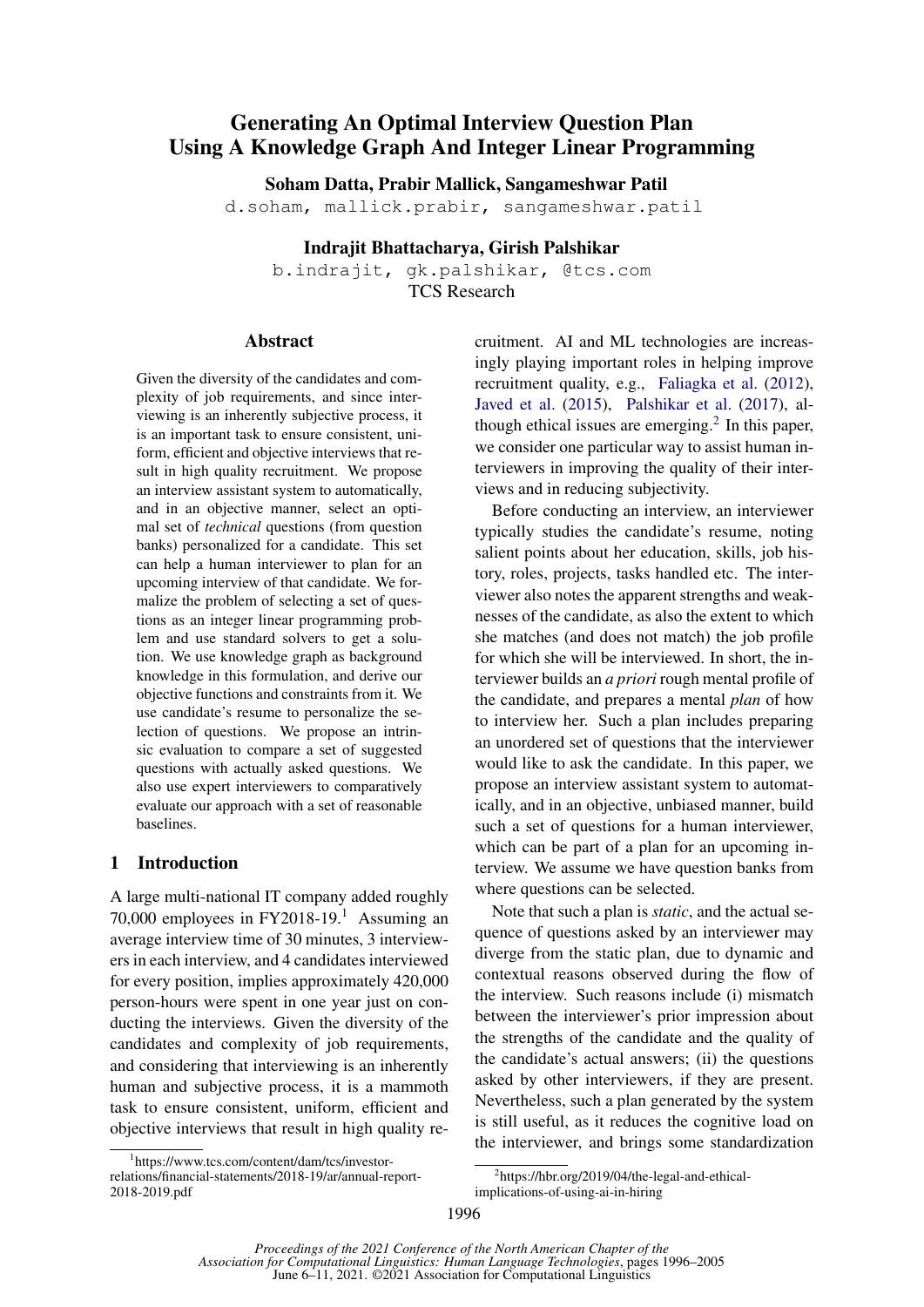# Generating An Optimal Interview Question Plan Using A Knowledge Graph And Integer Linear Programming

Soham Datta, Prabir Mallick, Sangameshwar Patil

d.soham, mallick.prabir, sangameshwar.patil

Indrajit Bhattacharya, Girish Palshikar

b.indrajit, gk.palshikar, @tcs.com TCS Research

#### Abstract

Given the diversity of the candidates and complexity of job requirements, and since interviewing is an inherently subjective process, it is an important task to ensure consistent, uniform, efficient and objective interviews that result in high quality recruitment. We propose an interview assistant system to automatically, and in an objective manner, select an optimal set of *technical* questions (from question banks) personalized for a candidate. This set can help a human interviewer to plan for an upcoming interview of that candidate. We formalize the problem of selecting a set of questions as an integer linear programming problem and use standard solvers to get a solution. We use knowledge graph as background knowledge in this formulation, and derive our objective functions and constraints from it. We use candidate's resume to personalize the selection of questions. We propose an intrinsic evaluation to compare a set of suggested questions with actually asked questions. We also use expert interviewers to comparatively evaluate our approach with a set of reasonable baselines.

## 1 Introduction

A large multi-national IT company added roughly 70,000 employees in FY2018-19.[1](#page-0-0) Assuming an average interview time of 30 minutes, 3 interviewers in each interview, and 4 candidates interviewed for every position, implies approximately 420,000 person-hours were spent in one year just on conducting the interviews. Given the diversity of the candidates and complexity of job requirements, and considering that interviewing is an inherently human and subjective process, it is a mammoth task to ensure consistent, uniform, efficient and objective interviews that result in high quality recruitment. AI and ML technologies are increasingly playing important roles in helping improve recruitment quality, e.g., [Faliagka et al.](#page-8-0) [\(2012\)](#page-8-0), [Javed et al.](#page-9-0) [\(2015\)](#page-9-0), [Palshikar et al.](#page-9-1) [\(2017\)](#page-9-1), although ethical issues are emerging. $2$  In this paper, we consider one particular way to assist human interviewers in improving the quality of their interviews and in reducing subjectivity.

Before conducting an interview, an interviewer typically studies the candidate's resume, noting salient points about her education, skills, job history, roles, projects, tasks handled etc. The interviewer also notes the apparent strengths and weaknesses of the candidate, as also the extent to which she matches (and does not match) the job profile for which she will be interviewed. In short, the interviewer builds an *a priori* rough mental profile of the candidate, and prepares a mental *plan* of how to interview her. Such a plan includes preparing an unordered set of questions that the interviewer would like to ask the candidate. In this paper, we propose an interview assistant system to automatically, and in an objective, unbiased manner, build such a set of questions for a human interviewer, which can be part of a plan for an upcoming interview. We assume we have question banks from where questions can be selected.

Note that such a plan is *static*, and the actual sequence of questions asked by an interviewer may diverge from the static plan, due to dynamic and contextual reasons observed during the flow of the interview. Such reasons include (i) mismatch between the interviewer's prior impression about the strengths of the candidate and the quality of the candidate's actual answers; (ii) the questions asked by other interviewers, if they are present. Nevertheless, such a plan generated by the system is still useful, as it reduces the cognitive load on the interviewer, and brings some standardization

<span id="page-0-1"></span>2 https://hbr.org/2019/04/the-legal-and-ethical-

implications-of-using-ai-in-hiring

<span id="page-0-0"></span><sup>1</sup> https://www.tcs.com/content/dam/tcs/investorrelations/financial-statements/2018-19/ar/annual-report-2018-2019.pdf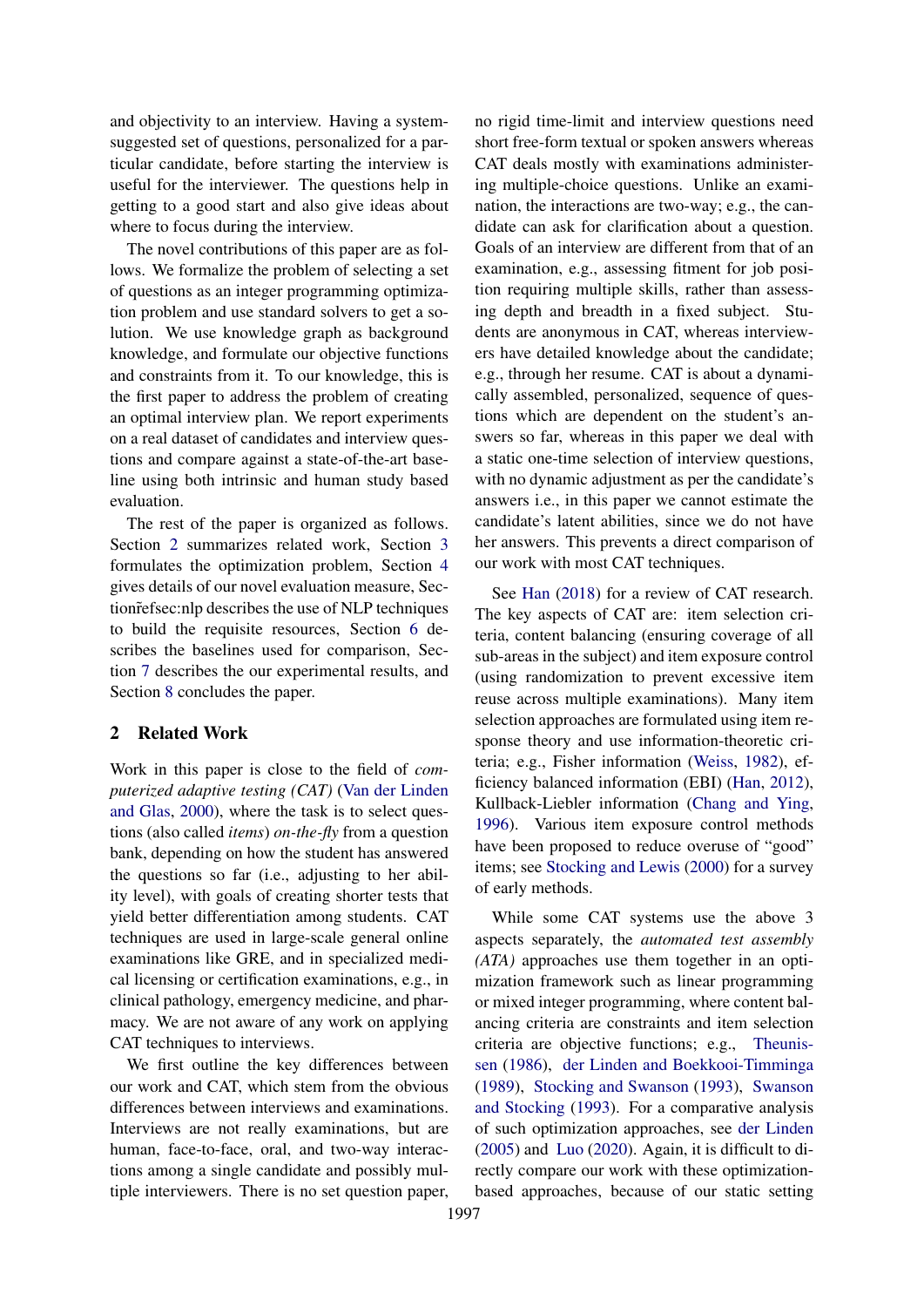and objectivity to an interview. Having a systemsuggested set of questions, personalized for a particular candidate, before starting the interview is useful for the interviewer. The questions help in getting to a good start and also give ideas about where to focus during the interview.

The novel contributions of this paper are as follows. We formalize the problem of selecting a set of questions as an integer programming optimization problem and use standard solvers to get a solution. We use knowledge graph as background knowledge, and formulate our objective functions and constraints from it. To our knowledge, this is the first paper to address the problem of creating an optimal interview plan. We report experiments on a real dataset of candidates and interview questions and compare against a state-of-the-art baseline using both intrinsic and human study based evaluation.

The rest of the paper is organized as follows. Section [2](#page-1-0) summarizes related work, Section [3](#page-2-0) formulates the optimization problem, Section [4](#page-5-0) gives details of our novel evaluation measure, Section˜refsec:nlp describes the use of NLP techniques to build the requisite resources, Section [6](#page-6-0) describes the baselines used for comparison, Section [7](#page-7-0) describes the our experimental results, and Section [8](#page-8-1) concludes the paper.

## <span id="page-1-0"></span>2 Related Work

Work in this paper is close to the field of *computerized adaptive testing (CAT)* [\(Van der Linden](#page-9-2) [and Glas,](#page-9-2) [2000\)](#page-9-2), where the task is to select questions (also called *items*) *on-the-fly* from a question bank, depending on how the student has answered the questions so far (i.e., adjusting to her ability level), with goals of creating shorter tests that yield better differentiation among students. CAT techniques are used in large-scale general online examinations like GRE, and in specialized medical licensing or certification examinations, e.g., in clinical pathology, emergency medicine, and pharmacy. We are not aware of any work on applying CAT techniques to interviews.

We first outline the key differences between our work and CAT, which stem from the obvious differences between interviews and examinations. Interviews are not really examinations, but are human, face-to-face, oral, and two-way interactions among a single candidate and possibly multiple interviewers. There is no set question paper,

no rigid time-limit and interview questions need short free-form textual or spoken answers whereas CAT deals mostly with examinations administering multiple-choice questions. Unlike an examination, the interactions are two-way; e.g., the candidate can ask for clarification about a question. Goals of an interview are different from that of an examination, e.g., assessing fitment for job position requiring multiple skills, rather than assessing depth and breadth in a fixed subject. Students are anonymous in CAT, whereas interviewers have detailed knowledge about the candidate; e.g., through her resume. CAT is about a dynamically assembled, personalized, sequence of questions which are dependent on the student's answers so far, whereas in this paper we deal with a static one-time selection of interview questions, with no dynamic adjustment as per the candidate's answers i.e., in this paper we cannot estimate the candidate's latent abilities, since we do not have her answers. This prevents a direct comparison of our work with most CAT techniques.

See [Han](#page-9-3) [\(2018\)](#page-9-3) for a review of CAT research. The key aspects of CAT are: item selection criteria, content balancing (ensuring coverage of all sub-areas in the subject) and item exposure control (using randomization to prevent excessive item reuse across multiple examinations). Many item selection approaches are formulated using item response theory and use information-theoretic criteria; e.g., Fisher information [\(Weiss,](#page-9-4) [1982\)](#page-9-4), efficiency balanced information (EBI) [\(Han,](#page-9-5) [2012\)](#page-9-5), Kullback-Liebler information [\(Chang and Ying,](#page-8-2) [1996\)](#page-8-2). Various item exposure control methods have been proposed to reduce overuse of "good" items; see [Stocking and Lewis](#page-9-6) [\(2000\)](#page-9-6) for a survey of early methods.

While some CAT systems use the above 3 aspects separately, the *automated test assembly (ATA)* approaches use them together in an optimization framework such as linear programming or mixed integer programming, where content balancing criteria are constraints and item selection criteria are objective functions; e.g., [Theunis](#page-9-7)[sen](#page-9-7) [\(1986\)](#page-9-7), [der Linden and Boekkooi-Timminga](#page-8-3) [\(1989\)](#page-8-3), [Stocking and Swanson](#page-9-8) [\(1993\)](#page-9-8), [Swanson](#page-9-9) [and Stocking](#page-9-9) [\(1993\)](#page-9-9). For a comparative analysis of such optimization approaches, see [der Linden](#page-8-4) [\(2005\)](#page-8-4) and [Luo](#page-9-10) [\(2020\)](#page-9-10). Again, it is difficult to directly compare our work with these optimizationbased approaches, because of our static setting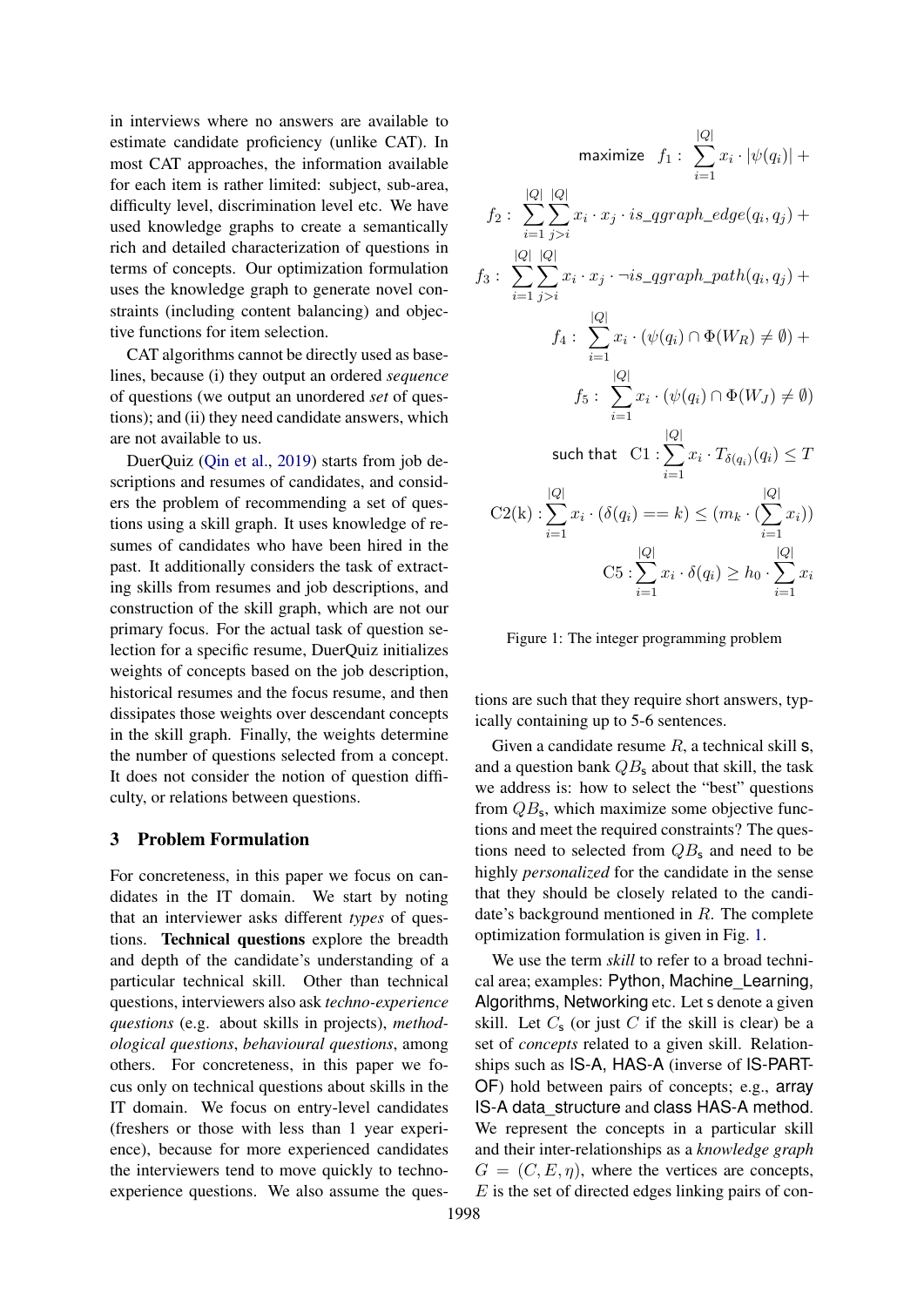in interviews where no answers are available to estimate candidate proficiency (unlike CAT). In most CAT approaches, the information available for each item is rather limited: subject, sub-area, difficulty level, discrimination level etc. We have used knowledge graphs to create a semantically rich and detailed characterization of questions in terms of concepts. Our optimization formulation uses the knowledge graph to generate novel constraints (including content balancing) and objective functions for item selection.

CAT algorithms cannot be directly used as baselines, because (i) they output an ordered *sequence* of questions (we output an unordered *set* of questions); and (ii) they need candidate answers, which are not available to us.

DuerQuiz [\(Qin et al.,](#page-9-11) [2019\)](#page-9-11) starts from job descriptions and resumes of candidates, and considers the problem of recommending a set of questions using a skill graph. It uses knowledge of resumes of candidates who have been hired in the past. It additionally considers the task of extracting skills from resumes and job descriptions, and construction of the skill graph, which are not our primary focus. For the actual task of question selection for a specific resume, DuerQuiz initializes weights of concepts based on the job description, historical resumes and the focus resume, and then dissipates those weights over descendant concepts in the skill graph. Finally, the weights determine the number of questions selected from a concept. It does not consider the notion of question difficulty, or relations between questions.

## <span id="page-2-0"></span>3 Problem Formulation

For concreteness, in this paper we focus on candidates in the IT domain. We start by noting that an interviewer asks different *types* of questions. Technical questions explore the breadth and depth of the candidate's understanding of a particular technical skill. Other than technical questions, interviewers also ask *techno-experience questions* (e.g. about skills in projects), *methodological questions*, *behavioural questions*, among others. For concreteness, in this paper we focus only on technical questions about skills in the IT domain. We focus on entry-level candidates (freshers or those with less than 1 year experience), because for more experienced candidates the interviewers tend to move quickly to technoexperience questions. We also assume the ques-

<span id="page-2-1"></span>
$$
\begin{aligned}\n\text{maximize} \quad & f_1: \sum_{i=1} x_i \cdot |\psi(q_i)| + \\
& f_2: \sum_{i=1}^{|Q|} \sum_{j>i}^{|Q|} x_i \cdot x_j \cdot is\_qgraph\_edge(q_i, q_j) + \\
& f_3: \sum_{i=1}^{|Q|} \sum_{j>i}^{|Q|} x_i \cdot x_j \cdot \neg is\_qgraph\_path(q_i, q_j) + \\
& f_4: \sum_{i=1}^{|Q|} x_i \cdot (\psi(q_i) \cap \Phi(W_R) \neq \emptyset) + \\
& f_5: \sum_{i=1}^{|Q|} x_i \cdot (\psi(q_i) \cap \Phi(W_J) \neq \emptyset) \\
\text{such that} \quad & C1: \sum_{i=1}^{|Q|} x_i \cdot T_{\delta(q_i)}(q_i) \leq T \\
& C2(k): \sum_{i=1}^{|Q|} x_i \cdot (\delta(q_i) == k) \leq (m_k \cdot (\sum_{i=1}^{|Q|} x_i)) \\
& C5: \sum_{i=1}^{|Q|} x_i \cdot \delta(q_i) \geq h_0 \cdot \sum_{i=1}^{|Q|} x_i\n\end{aligned}
$$

 $|Q|$ 

Figure 1: The integer programming problem

tions are such that they require short answers, typically containing up to 5-6 sentences.

Given a candidate resume  $R$ , a technical skill  $s$ , and a question bank  $QB_s$  about that skill, the task we address is: how to select the "best" questions from  $QB_s$ , which maximize some objective functions and meet the required constraints? The questions need to selected from  $QB_s$  and need to be highly *personalized* for the candidate in the sense that they should be closely related to the candidate's background mentioned in R. The complete optimization formulation is given in Fig. [1.](#page-2-1)

We use the term *skill* to refer to a broad technical area; examples: Python, Machine\_Learning, Algorithms, Networking etc. Let s denote a given skill. Let  $C_s$  (or just C if the skill is clear) be a set of *concepts* related to a given skill. Relationships such as IS-A, HAS-A (inverse of IS-PART-OF) hold between pairs of concepts; e.g., array IS-A data\_structure and class HAS-A method. We represent the concepts in a particular skill and their inter-relationships as a *knowledge graph*  $G = (C, E, \eta)$ , where the vertices are concepts,  $E$  is the set of directed edges linking pairs of con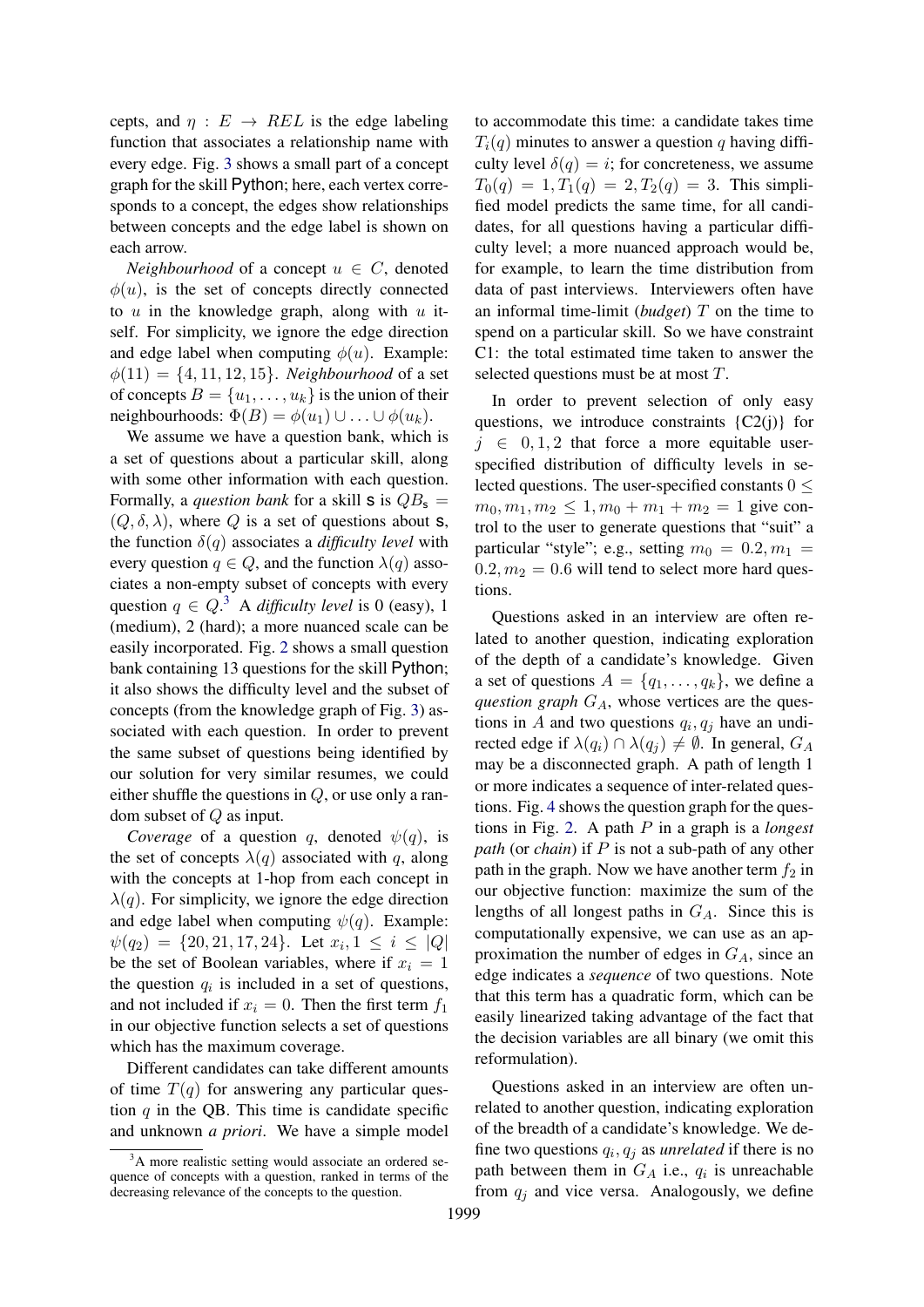cepts, and  $\eta : E \rightarrow REL$  is the edge labeling function that associates a relationship name with every edge. Fig. [3](#page-4-0) shows a small part of a concept graph for the skill Python; here, each vertex corresponds to a concept, the edges show relationships between concepts and the edge label is shown on each arrow.

*Neighbourhood* of a concept  $u \in C$ , denoted  $\phi(u)$ , is the set of concepts directly connected to  $u$  in the knowledge graph, along with  $u$  itself. For simplicity, we ignore the edge direction and edge label when computing  $\phi(u)$ . Example:  $\phi(11) = \{4, 11, 12, 15\}$ . *Neighbourhood* of a set of concepts  $B = \{u_1, \ldots, u_k\}$  is the union of their neighbourhoods:  $\Phi(B) = \phi(u_1) \cup \ldots \cup \phi(u_k)$ .

We assume we have a question bank, which is a set of questions about a particular skill, along with some other information with each question. Formally, a *question bank* for a skill **s** is  $QB_s =$  $(Q, \delta, \lambda)$ , where Q is a set of questions about **s**, the function  $\delta(q)$  associates a *difficulty level* with every question  $q \in Q$ , and the function  $\lambda(q)$  associates a non-empty subset of concepts with every question  $q \in Q$ .<sup>[3](#page-3-0)</sup> A *difficulty level* is 0 (easy), 1 (medium), 2 (hard); a more nuanced scale can be easily incorporated. Fig. [2](#page-4-1) shows a small question bank containing 13 questions for the skill Python; it also shows the difficulty level and the subset of concepts (from the knowledge graph of Fig. [3\)](#page-4-0) associated with each question. In order to prevent the same subset of questions being identified by our solution for very similar resumes, we could either shuffle the questions in  $Q$ , or use only a random subset of Q as input.

*Coverage* of a question q, denoted  $\psi(q)$ , is the set of concepts  $\lambda(q)$  associated with q, along with the concepts at 1-hop from each concept in  $\lambda(q)$ . For simplicity, we ignore the edge direction and edge label when computing  $\psi(q)$ . Example:  $\psi(q_2) = \{20, 21, 17, 24\}$ . Let  $x_i, 1 \leq i \leq |Q|$ be the set of Boolean variables, where if  $x_i = 1$ the question  $q_i$  is included in a set of questions, and not included if  $x_i = 0$ . Then the first term  $f_1$ in our objective function selects a set of questions which has the maximum coverage.

Different candidates can take different amounts of time  $T(q)$  for answering any particular question  $q$  in the QB. This time is candidate specific and unknown *a priori*. We have a simple model to accommodate this time: a candidate takes time  $T_i(q)$  minutes to answer a question q having difficulty level  $\delta(q) = i$ ; for concreteness, we assume  $T_0(q) = 1, T_1(q) = 2, T_2(q) = 3.$  This simplified model predicts the same time, for all candidates, for all questions having a particular difficulty level; a more nuanced approach would be, for example, to learn the time distribution from data of past interviews. Interviewers often have an informal time-limit (*budget*) T on the time to spend on a particular skill. So we have constraint C1: the total estimated time taken to answer the selected questions must be at most T.

In order to prevent selection of only easy questions, we introduce constraints  ${C2(i)}$  for  $j \in {0, 1, 2}$  that force a more equitable userspecified distribution of difficulty levels in selected questions. The user-specified constants  $0 \leq$  $m_0, m_1, m_2 \leq 1, m_0 + m_1 + m_2 = 1$  give control to the user to generate questions that "suit" a particular "style"; e.g., setting  $m_0 = 0.2, m_1 =$  $0.2, m_2 = 0.6$  will tend to select more hard questions.

Questions asked in an interview are often related to another question, indicating exploration of the depth of a candidate's knowledge. Given a set of questions  $A = \{q_1, \ldots, q_k\}$ , we define a *question graph*  $G_A$ , whose vertices are the questions in A and two questions  $q_i, q_j$  have an undirected edge if  $\lambda(q_i) \cap \lambda(q_j) \neq \emptyset$ . In general,  $G_A$ may be a disconnected graph. A path of length 1 or more indicates a sequence of inter-related questions. Fig. [4](#page-5-1) shows the question graph for the questions in Fig. [2.](#page-4-1) A path P in a graph is a *longest path* (or *chain*) if P is not a sub-path of any other path in the graph. Now we have another term  $f_2$  in our objective function: maximize the sum of the lengths of all longest paths in  $G_A$ . Since this is computationally expensive, we can use as an approximation the number of edges in  $G_A$ , since an edge indicates a *sequence* of two questions. Note that this term has a quadratic form, which can be easily linearized taking advantage of the fact that the decision variables are all binary (we omit this reformulation).

Questions asked in an interview are often unrelated to another question, indicating exploration of the breadth of a candidate's knowledge. We define two questions  $q_i, q_j$  as *unrelated* if there is no path between them in  $G_A$  i.e.,  $q_i$  is unreachable from  $q_i$  and vice versa. Analogously, we define

<span id="page-3-0"></span><sup>&</sup>lt;sup>3</sup>A more realistic setting would associate an ordered sequence of concepts with a question, ranked in terms of the decreasing relevance of the concepts to the question.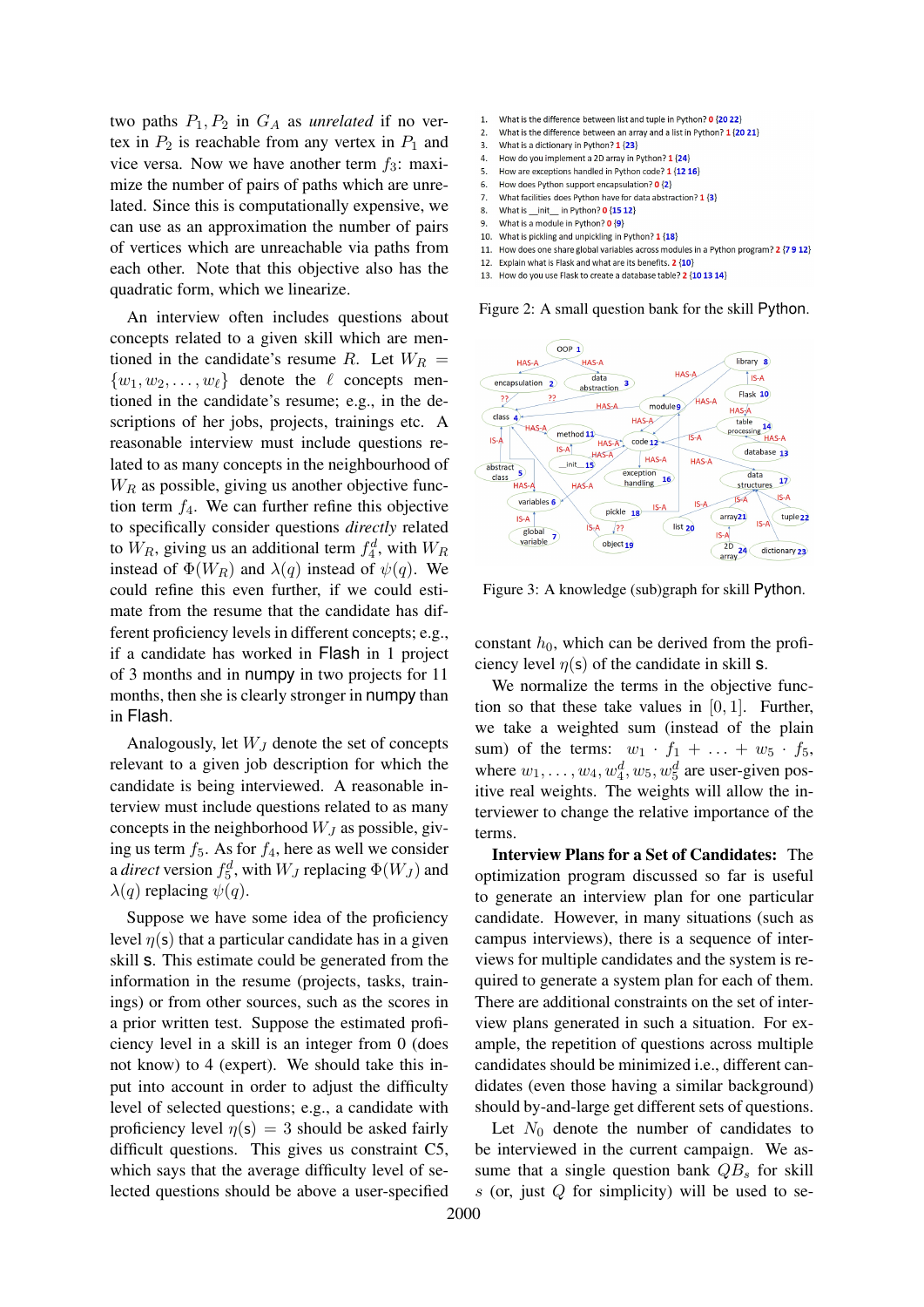two paths  $P_1$ ,  $P_2$  in  $G_A$  as *unrelated* if no vertex in  $P_2$  is reachable from any vertex in  $P_1$  and vice versa. Now we have another term  $f_3$ : maximize the number of pairs of paths which are unrelated. Since this is computationally expensive, we can use as an approximation the number of pairs of vertices which are unreachable via paths from each other. Note that this objective also has the quadratic form, which we linearize.

An interview often includes questions about concepts related to a given skill which are mentioned in the candidate's resume R. Let  $W_R =$  $\{w_1, w_2, \ldots, w_\ell\}$  denote the  $\ell$  concepts mentioned in the candidate's resume; e.g., in the descriptions of her jobs, projects, trainings etc. A reasonable interview must include questions related to as many concepts in the neighbourhood of  $W_R$  as possible, giving us another objective function term  $f_4$ . We can further refine this objective to specifically consider questions *directly* related to  $W_R$ , giving us an additional term  $f_4^d$ , with  $W_R$ instead of  $\Phi(W_R)$  and  $\lambda(q)$  instead of  $\psi(q)$ . We could refine this even further, if we could estimate from the resume that the candidate has different proficiency levels in different concepts; e.g., if a candidate has worked in Flash in 1 project of 3 months and in numpy in two projects for 11 months, then she is clearly stronger in numpy than in Flash.

Analogously, let  $W_J$  denote the set of concepts relevant to a given job description for which the candidate is being interviewed. A reasonable interview must include questions related to as many concepts in the neighborhood  $W_J$  as possible, giving us term  $f_5$ . As for  $f_4$ , here as well we consider a *direct* version  $f_5^d$ , with  $W_J$  replacing  $\Phi(W_J)$  and  $\lambda(q)$  replacing  $\psi(q)$ .

Suppose we have some idea of the proficiency level  $\eta(s)$  that a particular candidate has in a given skill s. This estimate could be generated from the information in the resume (projects, tasks, trainings) or from other sources, such as the scores in a prior written test. Suppose the estimated proficiency level in a skill is an integer from 0 (does not know) to 4 (expert). We should take this input into account in order to adjust the difficulty level of selected questions; e.g., a candidate with proficiency level  $\eta(s) = 3$  should be asked fairly difficult questions. This gives us constraint C5, which says that the average difficulty level of selected questions should be above a user-specified

- <span id="page-4-1"></span> $\mathbf{1}$ What is the difference between list and tuple in Python? 0 {20 22}
- $\overline{2}$ What is the difference between an array and a list in Python? 1 (20 21)
- What is a dictionary in Python? 1 {23}  $\overline{3}$  $\overline{a}$ How do you implement a 2D array in Python? 1 {24}
- How are exceptions handled in Python code? 1 {12 16} 5.
- $\mathbf{r}$ How does Python support encapsulation? 0 {2}
- What facilities does Python have for data abstraction? 1 {3}  $\overline{7}$
- What is init in Python?  $0\{15\,12\}$ 8.
- What is a module in Python? 0 {9} 9.
- What is pickling and unpickling in Python? 1 {18}  $10<sup>10</sup>$
- 11. How does one share global variables across modules in a Python program? 2 {7 9 12}
- 12. Explain what is Flask and what are its benefits. 2 {10}
- 13. How do you use Flask to create a database table? 2 {10 13 14}

Figure 2: A small question bank for the skill Python.

<span id="page-4-0"></span>

Figure 3: A knowledge (sub)graph for skill Python.

constant  $h_0$ , which can be derived from the proficiency level  $\eta(s)$  of the candidate in skill s.

We normalize the terms in the objective function so that these take values in  $[0, 1]$ . Further, we take a weighted sum (instead of the plain sum) of the terms:  $w_1 \cdot f_1 + \ldots + w_5 \cdot f_5$ , where  $w_1, \ldots, w_4, w_4^d, w_5, w_5^d$  are user-given positive real weights. The weights will allow the interviewer to change the relative importance of the terms.

Interview Plans for a Set of Candidates: The optimization program discussed so far is useful to generate an interview plan for one particular candidate. However, in many situations (such as campus interviews), there is a sequence of interviews for multiple candidates and the system is required to generate a system plan for each of them. There are additional constraints on the set of interview plans generated in such a situation. For example, the repetition of questions across multiple candidates should be minimized i.e., different candidates (even those having a similar background) should by-and-large get different sets of questions.

Let  $N_0$  denote the number of candidates to be interviewed in the current campaign. We assume that a single question bank  $QB_s$  for skill  $s$  (or, just  $Q$  for simplicity) will be used to se-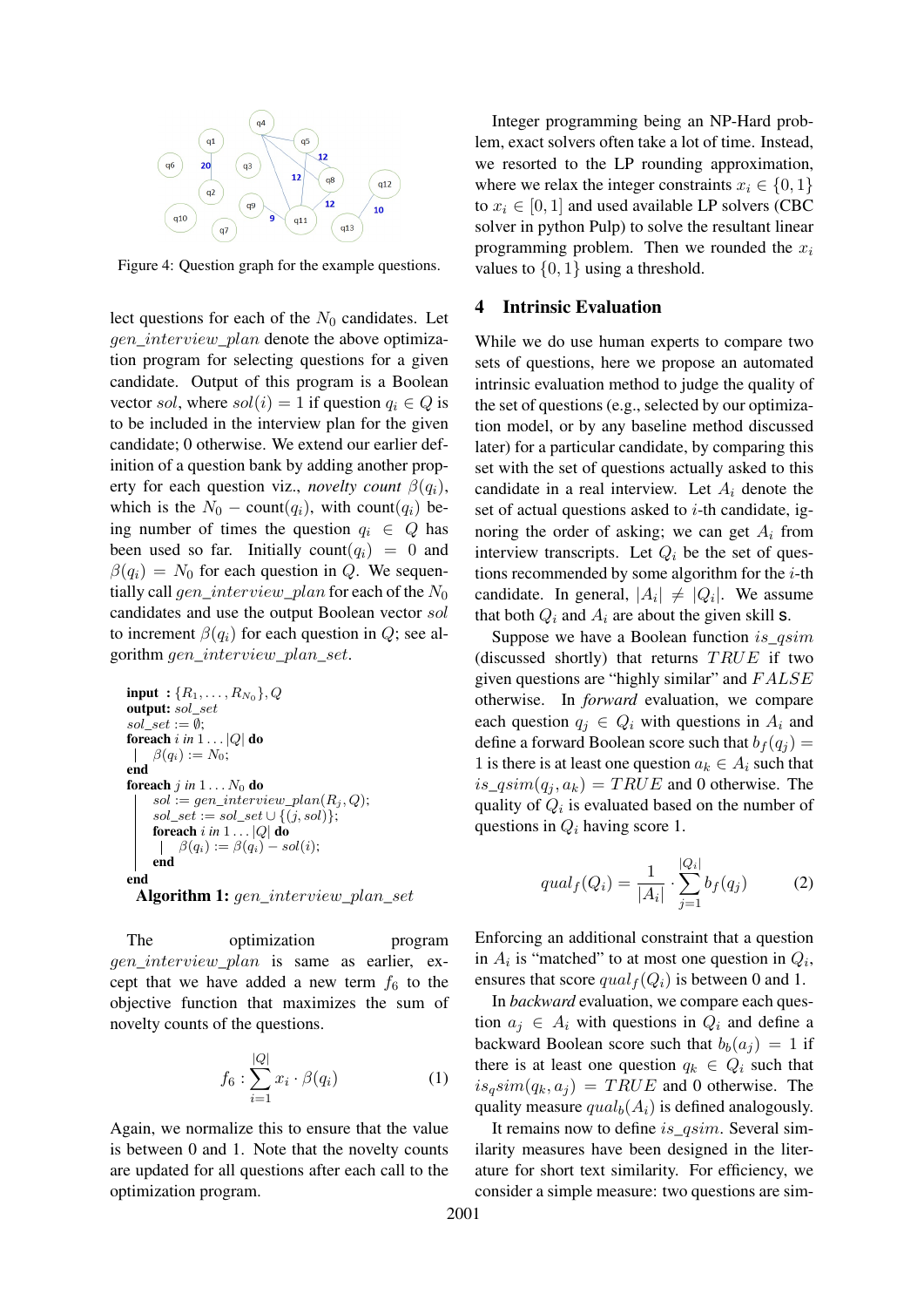<span id="page-5-1"></span>

Figure 4: Question graph for the example questions.

lect questions for each of the  $N_0$  candidates. Let gen\_interview\_plan denote the above optimization program for selecting questions for a given candidate. Output of this program is a Boolean vector sol, where  $sol(i) = 1$  if question  $q_i \in Q$  is to be included in the interview plan for the given candidate; 0 otherwise. We extend our earlier definition of a question bank by adding another property for each question viz., *novelty count*  $\beta(q_i)$ , which is the  $N_0$  – count $(q_i)$ , with count $(q_i)$  being number of times the question  $q_i \in Q$  has been used so far. Initially count $(q_i) = 0$  and  $\beta(q_i) = N_0$  for each question in Q. We sequentially call gen\_interview\_plan for each of the  $N_0$ candidates and use the output Boolean vector sol to increment  $\beta(q_i)$  for each question in  $Q$ ; see algorithm gen\_interview\_plan\_set.

input : {R1, . . . , R<sup>N</sup><sup>0</sup> }, Q output: sol\_set sol\_set := ∅; foreach i *in* 1 . . . |Q| do β(qi) := N0; end foreach j *in* 1 . . . N<sup>0</sup> do sol := gen\_interview\_plan(R<sup>j</sup> , Q); sol\_set := sol\_set ∪ {(j, sol)}; foreach i *in* 1 . . . |Q| do β(qi) := β(qi) − sol(i); end end Algorithm 1: gen\_interview\_plan\_set

The optimization program gen interview plan is same as earlier, except that we have added a new term  $f_6$  to the objective function that maximizes the sum of novelty counts of the questions.

$$
f_6: \sum_{i=1}^{|Q|} x_i \cdot \beta(q_i) \tag{1}
$$

Again, we normalize this to ensure that the value is between 0 and 1. Note that the novelty counts are updated for all questions after each call to the optimization program.

Integer programming being an NP-Hard problem, exact solvers often take a lot of time. Instead, we resorted to the LP rounding approximation, where we relax the integer constraints  $x_i \in \{0, 1\}$ to  $x_i \in [0, 1]$  and used available LP solvers (CBC solver in python Pulp) to solve the resultant linear programming problem. Then we rounded the  $x_i$ values to  $\{0, 1\}$  using a threshold.

## <span id="page-5-0"></span>4 Intrinsic Evaluation

While we do use human experts to compare two sets of questions, here we propose an automated intrinsic evaluation method to judge the quality of the set of questions (e.g., selected by our optimization model, or by any baseline method discussed later) for a particular candidate, by comparing this set with the set of questions actually asked to this candidate in a real interview. Let  $A_i$  denote the set of actual questions asked to  $i$ -th candidate, ignoring the order of asking; we can get  $A_i$  from interview transcripts. Let  $Q_i$  be the set of questions recommended by some algorithm for the  $i$ -th candidate. In general,  $|A_i| \neq |Q_i|$ . We assume that both  $Q_i$  and  $A_i$  are about the given skill s.

Suppose we have a Boolean function  $is\_qsim$ (discussed shortly) that returns  $TRUE$  if two given questions are "highly similar" and  $FALSE$ otherwise. In *forward* evaluation, we compare each question  $q_i \in Q_i$  with questions in  $A_i$  and define a forward Boolean score such that  $b_f (q_i)$  = 1 is there is at least one question  $a_k \in A_i$  such that  $is\_qsim(q_i, a_k) = TRUE$  and 0 otherwise. The quality of  $Q_i$  is evaluated based on the number of questions in  $Q_i$  having score 1.

$$
qual_f(Q_i) = \frac{1}{|A_i|} \cdot \sum_{j=1}^{|Q_i|} b_f(q_j)
$$
 (2)

Enforcing an additional constraint that a question in  $A_i$  is "matched" to at most one question in  $Q_i$ , ensures that score  $qual_f(Q_i)$  is between 0 and 1.

In *backward* evaluation, we compare each question  $a_i \in A_i$  with questions in  $Q_i$  and define a backward Boolean score such that  $b_b(a_i) = 1$  if there is at least one question  $q_k \in Q_i$  such that  $is_qsim(q_k, a_j) = TRUE$  and 0 otherwise. The quality measure  $qual_b(A_i)$  is defined analogously.

It remains now to define is\_qsim. Several similarity measures have been designed in the literature for short text similarity. For efficiency, we consider a simple measure: two questions are sim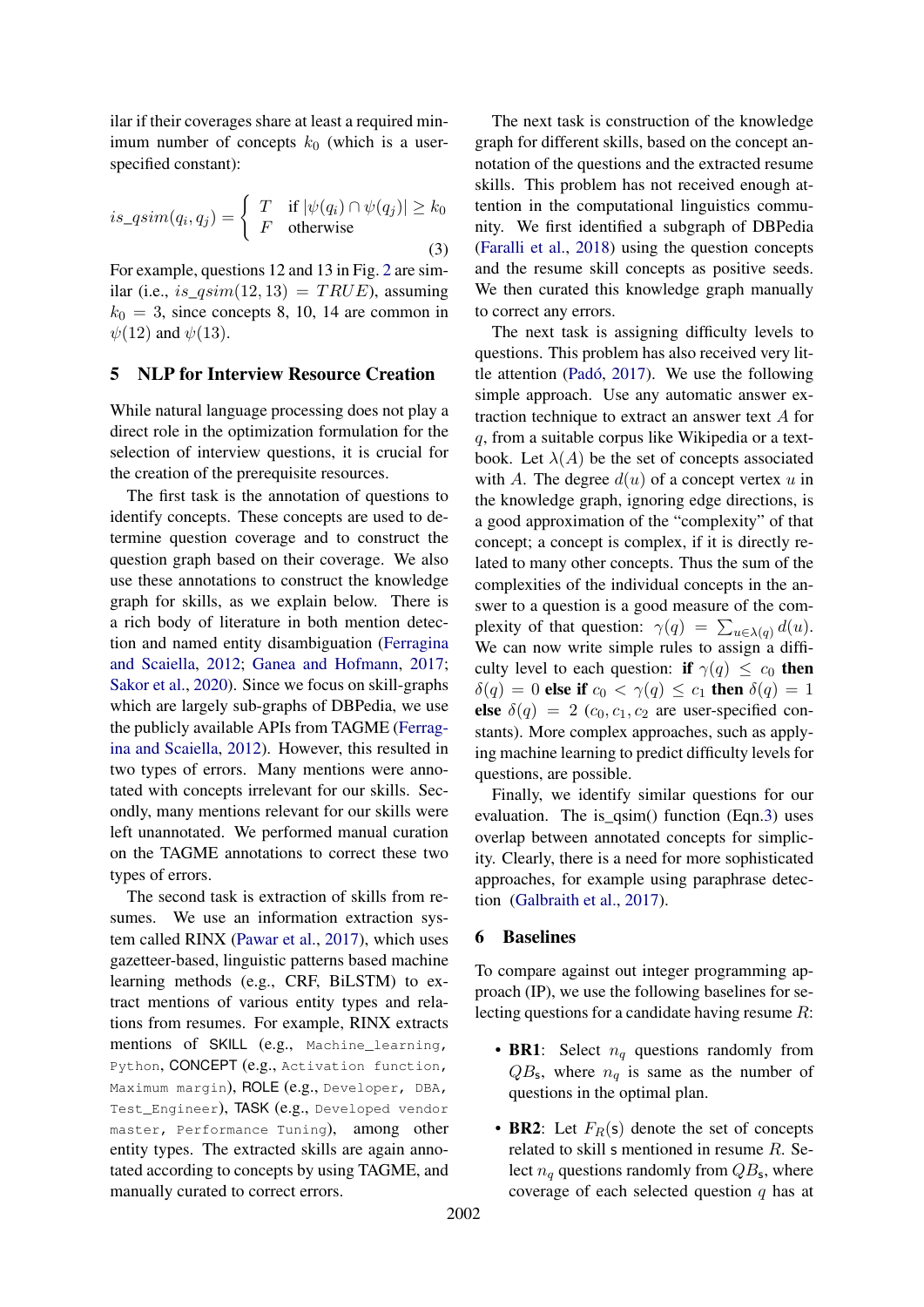ilar if their coverages share at least a required minimum number of concepts  $k_0$  (which is a userspecified constant):

<span id="page-6-1"></span>
$$
is\_qsim(q_i, q_j) = \begin{cases} T & \text{if } |\psi(q_i) \cap \psi(q_j)| \ge k_0 \\ F & \text{otherwise} \end{cases}
$$
 (3)

For example, questions 12 and 13 in Fig. [2](#page-4-1) are similar (i.e., is\_ $qsim(12, 13) = TRUE$ ), assuming  $k_0 = 3$ , since concepts 8, 10, 14 are common in  $\psi(12)$  and  $\psi(13)$ .

#### 5 NLP for Interview Resource Creation

While natural language processing does not play a direct role in the optimization formulation for the selection of interview questions, it is crucial for the creation of the prerequisite resources.

The first task is the annotation of questions to identify concepts. These concepts are used to determine question coverage and to construct the question graph based on their coverage. We also use these annotations to construct the knowledge graph for skills, as we explain below. There is a rich body of literature in both mention detection and named entity disambiguation [\(Ferragina](#page-8-5) [and Scaiella,](#page-8-5) [2012;](#page-8-5) [Ganea and Hofmann,](#page-9-12) [2017;](#page-9-12) [Sakor et al.,](#page-9-13) [2020\)](#page-9-13). Since we focus on skill-graphs which are largely sub-graphs of DBPedia, we use the publicly available APIs from TAGME [\(Ferrag](#page-8-5)[ina and Scaiella,](#page-8-5) [2012\)](#page-8-5). However, this resulted in two types of errors. Many mentions were annotated with concepts irrelevant for our skills. Secondly, many mentions relevant for our skills were left unannotated. We performed manual curation on the TAGME annotations to correct these two types of errors.

The second task is extraction of skills from resumes. We use an information extraction system called RINX [\(Pawar et al.,](#page-9-14) [2017\)](#page-9-14), which uses gazetteer-based, linguistic patterns based machine learning methods (e.g., CRF, BiLSTM) to extract mentions of various entity types and relations from resumes. For example, RINX extracts mentions of SKILL (e.g., Machine\_learning, Python, CONCEPT (e.g., Activation function, Maximum margin), ROLE (e.g., Developer, DBA, Test\_Engineer), TASK (e.g., Developed vendor master, Performance Tuning), among other entity types. The extracted skills are again annotated according to concepts by using TAGME, and manually curated to correct errors.

The next task is construction of the knowledge graph for different skills, based on the concept annotation of the questions and the extracted resume skills. This problem has not received enough attention in the computational linguistics community. We first identified a subgraph of DBPedia [\(Faralli et al.,](#page-8-6) [2018\)](#page-8-6) using the question concepts and the resume skill concepts as positive seeds. We then curated this knowledge graph manually to correct any errors.

The next task is assigning difficulty levels to questions. This problem has also received very little attention [\(Padó,](#page-9-15) [2017\)](#page-9-15). We use the following simple approach. Use any automatic answer extraction technique to extract an answer text A for q, from a suitable corpus like Wikipedia or a textbook. Let  $\lambda(A)$  be the set of concepts associated with A. The degree  $d(u)$  of a concept vertex u in the knowledge graph, ignoring edge directions, is a good approximation of the "complexity" of that concept; a concept is complex, if it is directly related to many other concepts. Thus the sum of the complexities of the individual concepts in the answer to a question is a good measure of the complexity of that question:  $\gamma(q) = \sum_{u \in \lambda(q)} d(u)$ . We can now write simple rules to assign a difficulty level to each question: if  $\gamma(q) \leq c_0$  then  $\delta(q) = 0$  else if  $c_0 < \gamma(q) \leq c_1$  then  $\delta(q) = 1$ else  $\delta(q) = 2$  (c<sub>0</sub>, c<sub>1</sub>, c<sub>2</sub> are user-specified constants). More complex approaches, such as applying machine learning to predict difficulty levels for questions, are possible.

Finally, we identify similar questions for our evaluation. The is\_qsim() function (Eqn[.3\)](#page-6-1) uses overlap between annotated concepts for simplicity. Clearly, there is a need for more sophisticated approaches, for example using paraphrase detection [\(Galbraith et al.,](#page-8-7) [2017\)](#page-8-7).

#### <span id="page-6-0"></span>6 Baselines

To compare against out integer programming approach (IP), we use the following baselines for selecting questions for a candidate having resume R:

- BR1: Select  $n_q$  questions randomly from  $QB_s$ , where  $n_q$  is same as the number of questions in the optimal plan.
- BR2: Let  $F_R(s)$  denote the set of concepts related to skill s mentioned in resume R. Select  $n_q$  questions randomly from  $QB_s$ , where coverage of each selected question  $q$  has at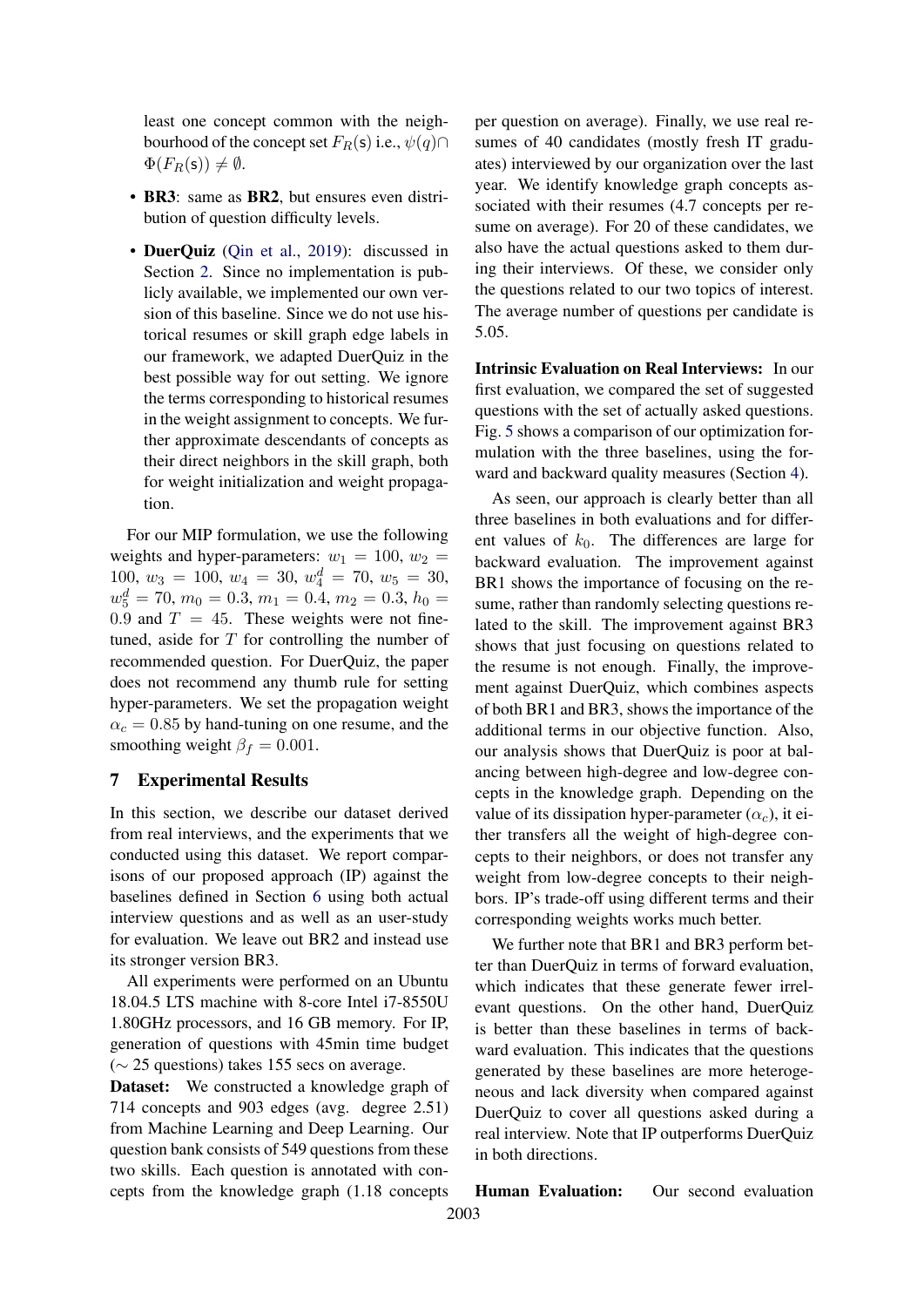least one concept common with the neighbourhood of the concept set  $F_R(s)$  i.e.,  $\psi(q) \cap$  $\Phi(F_R(\mathsf{s})) \neq \emptyset.$ 

- BR3: same as BR2, but ensures even distribution of question difficulty levels.
- DuerQuiz [\(Qin et al.,](#page-9-11) [2019\)](#page-9-11): discussed in Section [2.](#page-1-0) Since no implementation is publicly available, we implemented our own version of this baseline. Since we do not use historical resumes or skill graph edge labels in our framework, we adapted DuerQuiz in the best possible way for out setting. We ignore the terms corresponding to historical resumes in the weight assignment to concepts. We further approximate descendants of concepts as their direct neighbors in the skill graph, both for weight initialization and weight propagation.

For our MIP formulation, we use the following weights and hyper-parameters:  $w_1 = 100, w_2 =$ 100,  $w_3 = 100$ ,  $w_4 = 30$ ,  $w_4^d = 70$ ,  $w_5 = 30$ ,  $w_5^d = 70, m_0 = 0.3, m_1 = 0.4, m_2 = 0.3, h_0 =$ 0.9 and  $T = 45$ . These weights were not finetuned, aside for  $T$  for controlling the number of recommended question. For DuerQuiz, the paper does not recommend any thumb rule for setting hyper-parameters. We set the propagation weight  $\alpha_c = 0.85$  by hand-tuning on one resume, and the smoothing weight  $\beta_f = 0.001$ .

# <span id="page-7-0"></span>7 Experimental Results

In this section, we describe our dataset derived from real interviews, and the experiments that we conducted using this dataset. We report comparisons of our proposed approach (IP) against the baselines defined in Section [6](#page-6-0) using both actual interview questions and as well as an user-study for evaluation. We leave out BR2 and instead use its stronger version BR3.

All experiments were performed on an Ubuntu 18.04.5 LTS machine with 8-core Intel i7-8550U 1.80GHz processors, and 16 GB memory. For IP, generation of questions with 45min time budget (∼ 25 questions) takes 155 secs on average.

Dataset: We constructed a knowledge graph of 714 concepts and 903 edges (avg. degree 2.51) from Machine Learning and Deep Learning. Our question bank consists of 549 questions from these two skills. Each question is annotated with concepts from the knowledge graph (1.18 concepts per question on average). Finally, we use real resumes of 40 candidates (mostly fresh IT graduates) interviewed by our organization over the last year. We identify knowledge graph concepts associated with their resumes (4.7 concepts per resume on average). For 20 of these candidates, we also have the actual questions asked to them during their interviews. Of these, we consider only the questions related to our two topics of interest. The average number of questions per candidate is 5.05.

Intrinsic Evaluation on Real Interviews: In our first evaluation, we compared the set of suggested questions with the set of actually asked questions. Fig. [5](#page-8-8) shows a comparison of our optimization formulation with the three baselines, using the forward and backward quality measures (Section [4\)](#page-5-0).

As seen, our approach is clearly better than all three baselines in both evaluations and for different values of  $k_0$ . The differences are large for backward evaluation. The improvement against BR1 shows the importance of focusing on the resume, rather than randomly selecting questions related to the skill. The improvement against BR3 shows that just focusing on questions related to the resume is not enough. Finally, the improvement against DuerQuiz, which combines aspects of both BR1 and BR3, shows the importance of the additional terms in our objective function. Also, our analysis shows that DuerQuiz is poor at balancing between high-degree and low-degree concepts in the knowledge graph. Depending on the value of its dissipation hyper-parameter  $(\alpha_c)$ , it either transfers all the weight of high-degree concepts to their neighbors, or does not transfer any weight from low-degree concepts to their neighbors. IP's trade-off using different terms and their corresponding weights works much better.

We further note that BR1 and BR3 perform better than DuerQuiz in terms of forward evaluation, which indicates that these generate fewer irrelevant questions. On the other hand, DuerQuiz is better than these baselines in terms of backward evaluation. This indicates that the questions generated by these baselines are more heterogeneous and lack diversity when compared against DuerQuiz to cover all questions asked during a real interview. Note that IP outperforms DuerQuiz in both directions.

Human Evaluation: Our second evaluation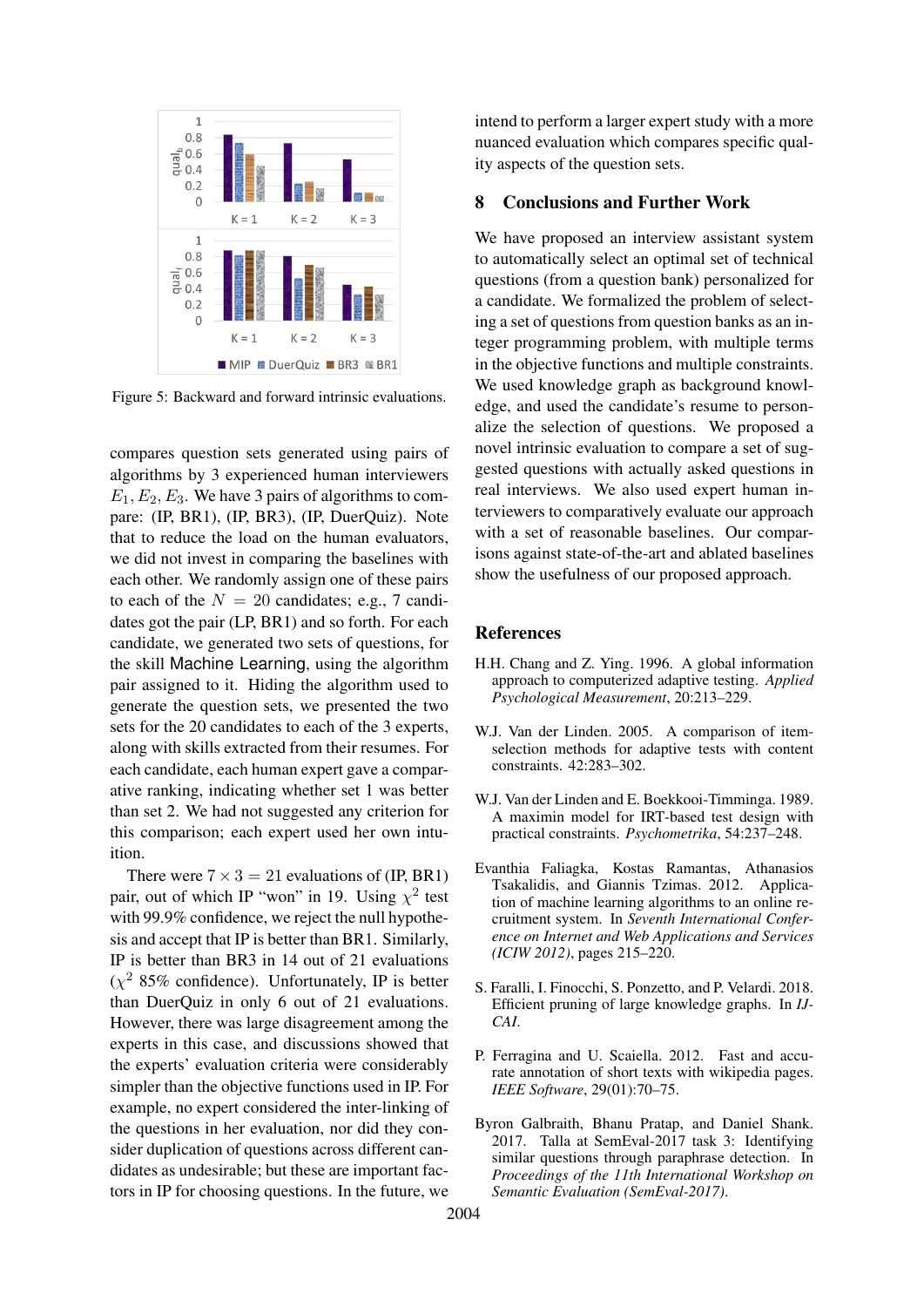<span id="page-8-8"></span>

Figure 5: Backward and forward intrinsic evaluations.

compares question sets generated using pairs of algorithms by 3 experienced human interviewers  $E_1, E_2, E_3$ . We have 3 pairs of algorithms to compare: (IP, BR1), (IP, BR3), (IP, DuerQuiz). Note that to reduce the load on the human evaluators, we did not invest in comparing the baselines with each other. We randomly assign one of these pairs to each of the  $N = 20$  candidates; e.g., 7 candidates got the pair (LP, BR1) and so forth. For each candidate, we generated two sets of questions, for the skill Machine Learning, using the algorithm pair assigned to it. Hiding the algorithm used to generate the question sets, we presented the two sets for the 20 candidates to each of the 3 experts, along with skills extracted from their resumes. For each candidate, each human expert gave a comparative ranking, indicating whether set 1 was better than set 2. We had not suggested any criterion for this comparison; each expert used her own intuition.

There were  $7 \times 3 = 21$  evaluations of (IP, BR1) pair, out of which IP "won" in 19. Using  $\chi^2$  test with 99.9% confidence, we reject the null hypothesis and accept that IP is better than BR1. Similarly, IP is better than BR3 in 14 out of 21 evaluations  $(\chi^2 85\%$  confidence). Unfortunately, IP is better than DuerQuiz in only 6 out of 21 evaluations. However, there was large disagreement among the experts in this case, and discussions showed that the experts' evaluation criteria were considerably simpler than the objective functions used in IP. For example, no expert considered the inter-linking of the questions in her evaluation, nor did they consider duplication of questions across different candidates as undesirable; but these are important factors in IP for choosing questions. In the future, we

intend to perform a larger expert study with a more nuanced evaluation which compares specific quality aspects of the question sets.

# <span id="page-8-1"></span>8 Conclusions and Further Work

We have proposed an interview assistant system to automatically select an optimal set of technical questions (from a question bank) personalized for a candidate. We formalized the problem of selecting a set of questions from question banks as an integer programming problem, with multiple terms in the objective functions and multiple constraints. We used knowledge graph as background knowledge, and used the candidate's resume to personalize the selection of questions. We proposed a novel intrinsic evaluation to compare a set of suggested questions with actually asked questions in real interviews. We also used expert human interviewers to comparatively evaluate our approach with a set of reasonable baselines. Our comparisons against state-of-the-art and ablated baselines show the usefulness of our proposed approach.

#### References

- <span id="page-8-2"></span>H.H. Chang and Z. Ying. 1996. A global information approach to computerized adaptive testing. *Applied Psychological Measurement*, 20:213–229.
- <span id="page-8-4"></span>W.J. Van der Linden. 2005. A comparison of itemselection methods for adaptive tests with content constraints. 42:283–302.
- <span id="page-8-3"></span>W.J. Van der Linden and E. Boekkooi-Timminga. 1989. A maximin model for IRT-based test design with practical constraints. *Psychometrika*, 54:237–248.
- <span id="page-8-0"></span>Evanthia Faliagka, Kostas Ramantas, Athanasios Tsakalidis, and Giannis Tzimas. 2012. Application of machine learning algorithms to an online recruitment system. In *Seventh International Conference on Internet and Web Applications and Services (ICIW 2012)*, pages 215–220.
- <span id="page-8-6"></span>S. Faralli, I. Finocchi, S. Ponzetto, and P. Velardi. 2018. Efficient pruning of large knowledge graphs. In *IJ-CAI*.
- <span id="page-8-5"></span>P. Ferragina and U. Scaiella. 2012. Fast and accurate annotation of short texts with wikipedia pages. *IEEE Software*, 29(01):70–75.
- <span id="page-8-7"></span>Byron Galbraith, Bhanu Pratap, and Daniel Shank. 2017. Talla at SemEval-2017 task 3: Identifying similar questions through paraphrase detection. In *Proceedings of the 11th International Workshop on Semantic Evaluation (SemEval-2017)*.